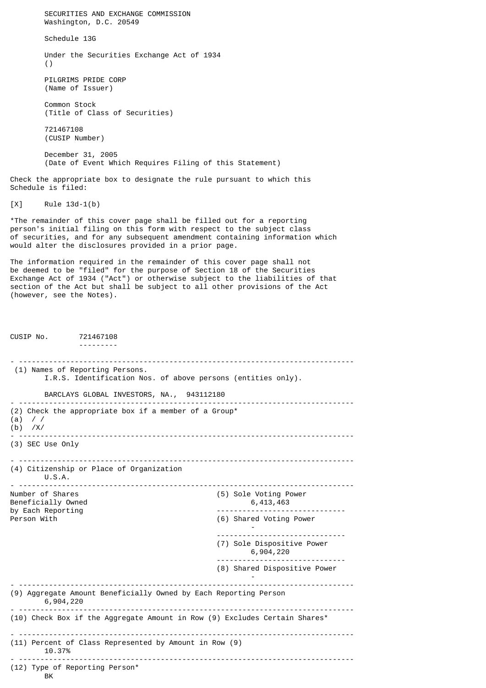SECURITIES AND EXCHANGE COMMISSION Washington, D.C. 20549 Schedule 13G Under the Securities Exchange Act of 1934 () PILGRIMS PRIDE CORP (Name of Issuer) Common Stock (Title of Class of Securities) 721467108 (CUSIP Number) December 31, 2005 (Date of Event Which Requires Filing of this Statement) Check the appropriate box to designate the rule pursuant to which this Schedule is filed: [X] Rule 13d-1(b) \*The remainder of this cover page shall be filled out for a reporting person's initial filing on this form with respect to the subject class of securities, and for any subsequent amendment containing information which would alter the disclosures provided in a prior page. The information required in the remainder of this cover page shall not be deemed to be "filed" for the purpose of Section 18 of the Securities Exchange Act of 1934 ("Act") or otherwise subject to the liabilities of that section of the Act but shall be subject to all other provisions of the Act (however, see the Notes). CUSIP No. 721467108 --------- - ------------------------------------------------------------------------------ (1) Names of Reporting Persons. I.R.S. Identification Nos. of above persons (entities only). BARCLAYS GLOBAL INVESTORS, NA., 943112180 - ------------------------------------------------------------------------------ (2) Check the appropriate box if a member of a Group\* (a) / / (b) /X/ - ------------------------------------------------------------------------------ (3) SEC Use Only - ------------------------------------------------------------------------------ (4) Citizenship or Place of Organization  $U.S.A.$ - ------------------------------------------------------------------------------ (5) Sole Voting Power Beneficially Owned 6,413,463 by Each Reporting and the control of the control of the control of the control of the control of the control o<br>Person With the control of the control of the control of the control of the control of the control of the contr (6) Shared Voting Power - ------------------------------ (7) Sole Dispositive Power 6,904,220 ------------------------------ (8) Shared Dispositive Power - - ------------------------------------------------------------------------------ (9) Aggregate Amount Beneficially Owned by Each Reporting Person 6,904,220 - ------------------------------------------------------------------------------ (10) Check Box if the Aggregate Amount in Row (9) Excludes Certain Shares\* - ------------------------------------------------------------------------------ (11) Percent of Class Represented by Amount in Row (9) 10.37% - ------------------------------------------------------------------------------ (12) Type of Reporting Person\* **BK**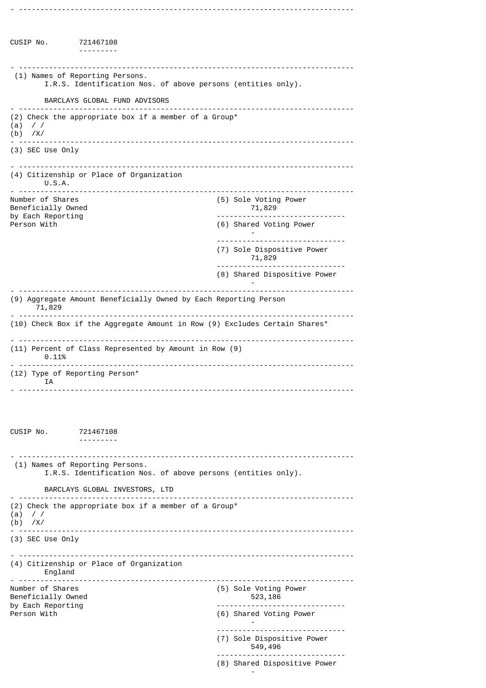CUSIP No. 721467108 --------- - ------------------------------------------------------------------------------ (1) Names of Reporting Persons. I.R.S. Identification Nos. of above persons (entities only). BARCLAYS GLOBAL FUND ADVISORS - ------------------------------------------------------------------------------ (2) Check the appropriate box if a member of a Group\* (a) / / (b) /X/ - ------------------------------------------------------------------------------ (3) SEC Use Only - ------------------------------------------------------------------------------ (4) Citizenship or Place of Organization U.S.A. - ------------------------------------------------------------------------------  $(5)$  Sole Voting Power<br>71,829 Beneficially Owned by Each Reporting and the control of the control of the control of the control of the control of the control o<br>Person With the control of the control of the control of the control of the control of the control of the contr (6) Shared Voting Power - ------------------------------ (7) Sole Dispositive Power 71,829 ------------------------------ (8) Shared Dispositive Power - - ------------------------------------------------------------------------------ (9) Aggregate Amount Beneficially Owned by Each Reporting Person 71,829 - ------------------------------------------------------------------------------ (10) Check Box if the Aggregate Amount in Row (9) Excludes Certain Shares\* - ------------------------------------------------------------------------------ (11) Percent of Class Represented by Amount in Row (9) 0.11% - ------------------------------------------------------------------------------ (12) Type of Reporting Person\* IA - ------------------------------------------------------------------------------ CUSIP No. 721467108 --------- - ------------------------------------------------------------------------------ (1) Names of Reporting Persons. I.R.S. Identification Nos. of above persons (entities only). BARCLAYS GLOBAL INVESTORS, LTD - ------------------------------------------------------------------------------ (2) Check the appropriate box if a member of a Group\* (a) / / (b) /X/ - ------------------------------------------------------------------------------ (3) SEC Use Only - ------------------------------------------------------------------------------ (4) Citizenship or Place of Organization England<br>--------------- ------------------------------------------------------------------------------ (5) Sole Voting Power<br>523,186 Beneficially Owned<br>by Each Reporting by Each Reporting and the set of the control of the control of the control of the control of the control of the control of the control of the control of the control of the control of the control of the control of the contr (6) Shared Voting Power - ------------------------------ (7) Sole Dispositive Power 549,496 ------------------------------ (8) Shared Dispositive Power -

- ------------------------------------------------------------------------------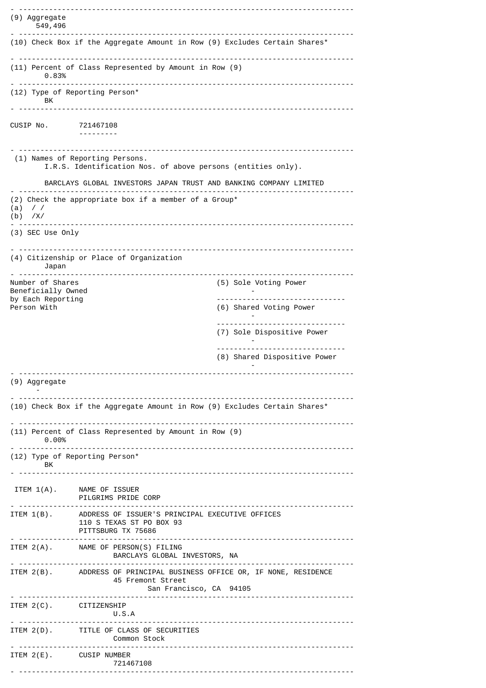```
- ------------------------------------------------------------------------------
(9) Aggregate
    549,496
                                    - ------------------------------------------------------------------------------
(10) Check Box if the Aggregate Amount in Row (9) Excludes Certain Shares*
- ------------------------------------------------------------------------------
(11) Percent of Class Represented by Amount in Row (9)
     0.83%
 - ------------------------------------------------------------------------------
(12) Type of Reporting Person*
       BK
 - ------------------------------------------------------------------------------
CUSIP No. 721467108
                 ---------
 - ------------------------------------------------------------------------------
  (1) Names of Reporting Persons.
        I.R.S. Identification Nos. of above persons (entities only).
        BARCLAYS GLOBAL INVESTORS JAPAN TRUST AND BANKING COMPANY LIMITED
- ------------------------------------------------------------------------------
(2) Check the appropriate box if a member of a Group*
(a) / /(b) /X/
                      - ------------------------------------------------------------------------------
(3) SEC Use Only
  - ------------------------------------------------------------------------------
(4) Citizenship or Place of Organization
      Japan
- ------------------------------------------------------------------------------
                                                      (5) Sole Voting Power
Beneficially Owned<br>by Each Reporting
by Each Reporting and the control of the control of the control of the control of the control of the control o<br>Person With the control of the control of the control of the control of the control of the control of the contr
                                                       (6) Shared Voting Power
                                                                -
                                                       ------------------------------
                                                       (7) Sole Dispositive Power
                                                                -
                                                        ------------------------------
                                                       (8) Shared Dispositive Power
                                                                -
      - ------------------------------------------------------------------------------
(9) Aggregate
 -
                - ------------------------------------------------------------------------------
(10) Check Box if the Aggregate Amount in Row (9) Excludes Certain Shares*
 - ------------------------------------------------------------------------------
(11) Percent of Class Represented by Amount in Row (9)
       0.00%
  - ------------------------------------------------------------------------------
(12) Type of Reporting Person*
       BK
 - ------------------------------------------------------------------------------
  ITEM 1(A). NAME OF ISSUER
                PILGRIMS PRIDE CORP
- ------------------------------------------------------------------------------
ITEM 1(B). ADDRESS OF ISSUER'S PRINCIPAL EXECUTIVE OFFICES<br>110 S TEXAS ST PO BOX 93
                 110 S TEXAS ST PO BOX 93
                PITTSBURG TX 75686
- ------------------------------------------------------------------------------
ITEM 2(A). NAME OF PERSON(S) FILING
                  BARCLAYS GLOBAL INVESTORS, NA
 - ------------------------------------------------------------------------------
ITEM 2(B). ADDRESS OF PRINCIPAL BUSINESS OFFICE OR, IF NONE, RESIDENCE
                   45 Fremont Street
                                   San Francisco, CA 94105
 - ------------------------------------------------------------------------------
ITEM 2(C). CITIZENSHIP
                          U.S.A
- ------------------------------------------------------------------------------
ITEM 2(D). TITLE OF CLASS OF SECURITIES
  Common Stock
                                                - ------------------------------------------------------------------------------
ITEM 2(E). CUSIP NUMBER
                         721467108
 - ------------------------------------------------------------------------------
```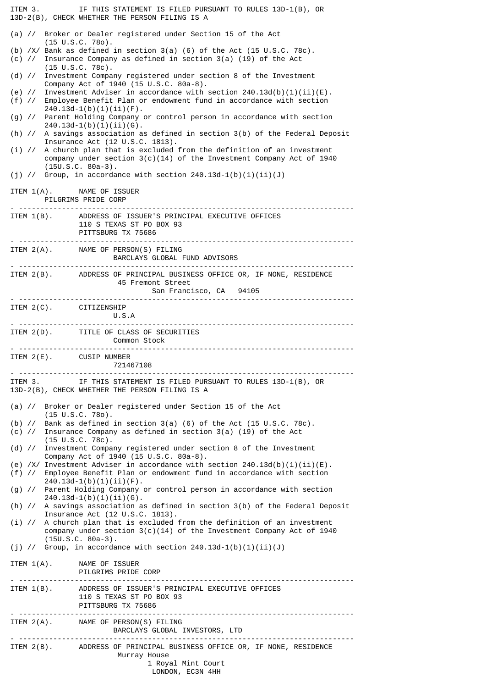ITEM 3. IF THIS STATEMENT IS FILED PURSUANT TO RULES 13D-1(B), OR 13D-2(B), CHECK WHETHER THE PERSON FILING IS A (a) // Broker or Dealer registered under Section 15 of the Act (15 U.S.C. 78o). (b) /X/ Bank as defined in section 3(a) (6) of the Act (15 U.S.C. 78c). (c) // Insurance Company as defined in section 3(a) (19) of the Act (15 U.S.C. 78c). (d) // Investment Company registered under section 8 of the Investment Company Act of 1940 (15 U.S.C. 80a-8). (e) // Investment Adviser in accordance with section  $240.13d(b)(1)(ii)(E)$ .<br>(f) // Employee Benefit Plan or endowment fund in accordance with section Employee Benefit Plan or endowment fund in accordance with section  $240.13d-1(b)(1)(ii)(F)$ . (g) // Parent Holding Company or control person in accordance with section  $240.13d-1(b)(1)(ii)(G)$ . (h) // A savings association as defined in section 3(b) of the Federal Deposit Insurance Act (12 U.S.C. 1813). (i) // A church plan that is excluded from the definition of an investment company under section  $3(c)(14)$  of the Investment Company Act of 1940 (15U.S.C. 80a-3). (j) // Group, in accordance with section  $240.13d-1(b)(1)(ii)(J)$ ITEM 1(A). NAME OF ISSUER PILGRIMS PRIDE CORP - ------------------------------------------------------------------------------ ITEM 1(B). ADDRESS OF ISSUER'S PRINCIPAL EXECUTIVE OFFICES 110 S TEXAS ST PO BOX 93 PITTSBURG TX 75686 - ------------------------------------------------------------------------------ ITEM 2(A). NAME OF PERSON(S) FILING BARCLAYS GLOBAL FUND ADVISORS - ------------------------------------------------------------------------------ ITEM 2(B). ADDRESS OF PRINCIPAL BUSINESS OFFICE OR, IF NONE, RESIDENCE 45 Fremont Street San Francisco, CA 94105 - ------------------------------------------------------------------------------ ITEM 2(C). CITIZENSHIP U.S.A - ------------------------------------------------------------------------------ ITEM 2(D). TITLE OF CLASS OF SECURITIES Common Stock - ------------------------------------------------------------------------------ ITEM 2(E). CUSIP NUMBER 721467108 - ------------------------------------------------------------------------------ ITEM 3. IF THIS STATEMENT IS FILED PURSUANT TO RULES 13D-1(B), OR 13D-2(B), CHECK WHETHER THE PERSON FILING IS A (a) // Broker or Dealer registered under Section 15 of the Act (15 U.S.C. 78o). (b) // Bank as defined in section 3(a) (6) of the Act (15 U.S.C. 78c). (c) // Insurance Company as defined in section 3(a) (19) of the Act  $(15 \cup S.C. 78c)$ . (d) // Investment Company registered under section 8 of the Investment Company Act of 1940 (15 U.S.C. 80a-8). (e) /X/ Investment Adviser in accordance with section  $240.13d(b)(1)(ii)(E)$ . (f) // Employee Benefit Plan or endowment fund in accordance with section  $240.13d-1(b)(1)(ii)(F)$ . (g) // Parent Holding Company or control person in accordance with section  $240.13d-1(b)(1)(ii)(G)$ . (h) // A savings association as defined in section 3(b) of the Federal Deposit Insurance Act (12 U.S.C. 1813). (i) // A church plan that is excluded from the definition of an investment company under section 3(c)(14) of the Investment Company Act of 1940 (15U.S.C. 80a-3). (j) // Group, in accordance with section  $240.13d-1(b)(1)(ii)(J)$ ITEM 1(A). NAME OF ISSUER PILGRIMS PRIDE CORP<br>- ---------------------------------- ------------------------------------------------------------------------------ ITEM 1(B). ADDRESS OF ISSUER'S PRINCIPAL EXECUTIVE OFFICES 110 S TEXAS ST PO BOX 93 PITTSBURG TX 75686 - ------------------------------------------------------------------------------ ITEM 2(A). NAME OF PERSON(S) FILING BARCLAYS GLOBAL INVESTORS, LTD - ------------------------------------------------------------------------------ ADDRESS OF PRINCIPAL BUSINESS OFFICE OR, IF NONE, RESIDENCE Murray House 1 Royal Mint Court LONDON, EC3N 4HH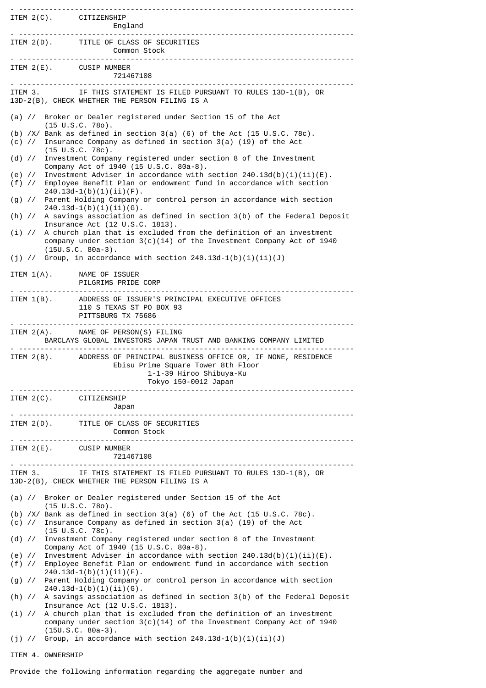|                               | ITEM 2(C). CITIZENSHIP                                                                                                                                                                      |
|-------------------------------|---------------------------------------------------------------------------------------------------------------------------------------------------------------------------------------------|
|                               | ITEM 2(D). TITLE OF CLASS OF SECURITIES<br><b>Common Stock</b>                                                                                                                              |
|                               | ITEM 2(E). CUSIP NUMBER<br>721467108                                                                                                                                                        |
|                               | ITEM 3. IF THIS STATEMENT IS FILED PURSUANT TO RULES 13D-1(B), OR<br>13D-2(B), CHECK WHETHER THE PERSON FILING IS A                                                                         |
|                               | (a) // Broker or Dealer registered under Section 15 of the Act<br>$(15 \tU.S.C. 780)$ .                                                                                                     |
|                               | (b) $/X/$ Bank as defined in section 3(a) (6) of the Act (15 U.S.C. 78c).<br>(c) $\frac{1}{2}$ Insurance Company as defined in section 3(a) (19) of the Act<br>$(15 \text{ U.S.C. } 78c)$ . |
|                               | (d) // Investment Company registered under section 8 of the Investment<br>Company Act of 1940 (15 U.S.C. 80a-8).                                                                            |
|                               | (e) // Investment Adviser in accordance with section $240.13d(b)(1)(ii)(E)$ .<br>(f) // Employee Benefit Plan or endowment fund in accordance with section<br>$240.13d-1(b)(1)(ii)(F)$ .    |
|                               | (g) // Parent Holding Company or control person in accordance with section<br>$240.13d-1(b)(1)(ii)(6)$ .                                                                                    |
|                               | (h) // A savings association as defined in section 3(b) of the Federal Deposit<br>Insurance Act (12 U.S.C. 1813).                                                                           |
|                               | $(i)$ // A church plan that is excluded from the definition of an investment<br>company under section $3(c)(14)$ of the Investment Company Act of 1940<br>$(15U.S.C. 80a-3).$               |
|                               | (j) // Group, in accordance with section $240.13d-1(b)(1)(ii)(J)$                                                                                                                           |
|                               | ITEM 1(A). NAME OF ISSUER<br>PILGRIMS PRIDE CORP                                                                                                                                            |
|                               | ITEM 1(B). ADDRESS OF ISSUER'S PRINCIPAL EXECUTIVE OFFICES<br>110 S TEXAS ST PO BOX 93<br>PITTSBURG TX 75686                                                                                |
|                               | ITEM 2(A). NAME OF PERSON(S) FILING<br>BARCLAYS GLOBAL INVESTORS JAPAN TRUST AND BANKING COMPANY LIMITED                                                                                    |
|                               | ITEM 2(B). ADDRESS OF PRINCIPAL BUSINESS OFFICE OR, IF NONE, RESIDENCE<br>Ebisu Prime Square Tower 8th Floor<br>1-1-39 Hiroo Shibuya-Ku<br>Tokyo 150-0012 Japan                             |
|                               | . <u>.</u><br>ITEM 2(C). CITIZENSHIP<br>Japan                                                                                                                                               |
|                               | ITEM 2(D). TITLE OF CLASS OF SECURITIES<br>Common Stock                                                                                                                                     |
|                               | ITEM 2(E). CUSIP NUMBER<br>721467108                                                                                                                                                        |
|                               | ITEM 3. IF THIS STATEMENT IS FILED PURSUANT TO RULES 13D-1(B), OR<br>13D-2(B), CHECK WHETHER THE PERSON FILING IS A                                                                         |
| (a) $\frac{1}{2}$             | Broker or Dealer registered under Section 15 of the Act<br>$(15 \cup S.C. 780)$ .                                                                                                           |
|                               | (b) $/X/$ Bank as defined in section 3(a) (6) of the Act (15 U.S.C. 78c).<br>(c) $\frac{1}{2}$ Insurance Company as defined in section 3(a) (19) of the Act<br>$(15 \cup S.C. 78c)$ .       |
| (d) $\frac{1}{2}$             | Investment Company registered under section 8 of the Investment<br>Company Act of 1940 (15 U.S.C. 80a-8).                                                                                   |
| (e) $\frac{1}{2}$<br>$(f)$ // | Investment Adviser in accordance with section $240.13d(b)(1)(ii)(E)$ .<br>Employee Benefit Plan or endowment fund in accordance with section<br>$240.13d-1(b)(1)(ii)(F)$ .                  |
|                               | (g) // Parent Holding Company or control person in accordance with section<br>$240.13d-1(b)(1)(ii)(6)$ .                                                                                    |
|                               | (h) // A savings association as defined in section 3(b) of the Federal Deposit<br>Insurance Act (12 U.S.C. 1813).                                                                           |
| $(i)$ //                      | A church plan that is excluded from the definition of an investment<br>company under section $3(c)(14)$ of the Investment Company Act of 1940<br>$(15U.S.C. 80a-3).$                        |
|                               | (j) // Group, in accordance with section $240.13d-1(b)(1)(ii)(J)$                                                                                                                           |
|                               | ITEM 4. OWNERSHIP                                                                                                                                                                           |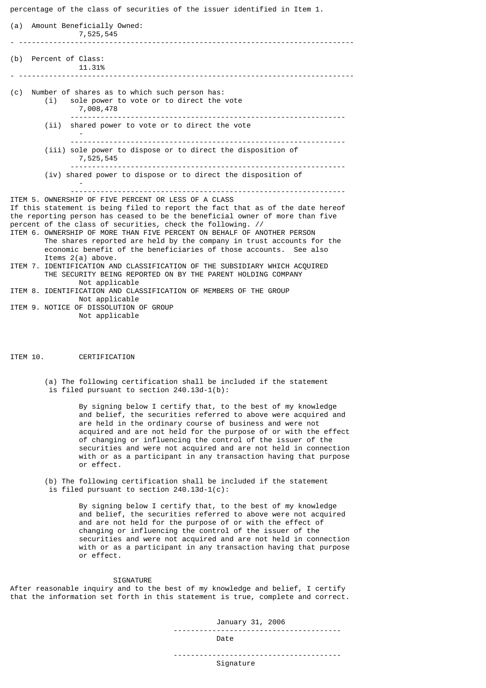percentage of the class of securities of the issuer identified in Item 1. (a) Amount Beneficially Owned: 7,525,545 - ------------------------------------------------------------------------------ (b) Percent of Class: 11.31% - ------------------------------------------------------------------------------ (c) Number of shares as to which such person has: (i) sole power to vote or to direct the vote 7,008,478 ---------------------------------------------------------------- (ii) shared power to vote or to direct the vote - ---------------------------------------------------------------- (iii) sole power to dispose or to direct the disposition of 7,525,545 ---------------------------------------------------------------- (iv) shared power to dispose or to direct the disposition of - ---------------------------------------------------------------- ITEM 5. OWNERSHIP OF FIVE PERCENT OR LESS OF A CLASS If this statement is being filed to report the fact that as of the date hereof the reporting person has ceased to be the beneficial owner of more than five percent of the class of securities, check the following. // ITEM 6. OWNERSHIP OF MORE THAN FIVE PERCENT ON BEHALF OF ANOTHER PERSON The shares reported are held by the company in trust accounts for the economic benefit of the beneficiaries of those accounts. See also Items 2(a) above. ITEM 7. IDENTIFICATION AND CLASSIFICATION OF THE SUBSIDIARY WHICH ACQUIRED THE SECURITY BEING REPORTED ON BY THE PARENT HOLDING COMPANY Not applicable ITEM 8. IDENTIFICATION AND CLASSIFICATION OF MEMBERS OF THE GROUP

- Not applicable ITEM 9. NOTICE OF DISSOLUTION OF GROUP Not applicable
- ITEM 10. CERTIFICATION
	- (a) The following certification shall be included if the statement is filed pursuant to section 240.13d-1(b):

By signing below I certify that, to the best of my knowledge and belief, the securities referred to above were acquired and are held in the ordinary course of business and were not acquired and are not held for the purpose of or with the effect of changing or influencing the control of the issuer of the securities and were not acquired and are not held in connection with or as a participant in any transaction having that purpose or effect.

(b) The following certification shall be included if the statement is filed pursuant to section  $240.13d-1(c)$ :

> By signing below I certify that, to the best of my knowledge and belief, the securities referred to above were not acquired and are not held for the purpose of or with the effect of changing or influencing the control of the issuer of the securities and were not acquired and are not held in connection with or as a participant in any transaction having that purpose or effect.

## SIGNATURE

After reasonable inquiry and to the best of my knowledge and belief, I certify that the information set forth in this statement is true, complete and correct.

> January 31, 2006 --------------------------------------- Date